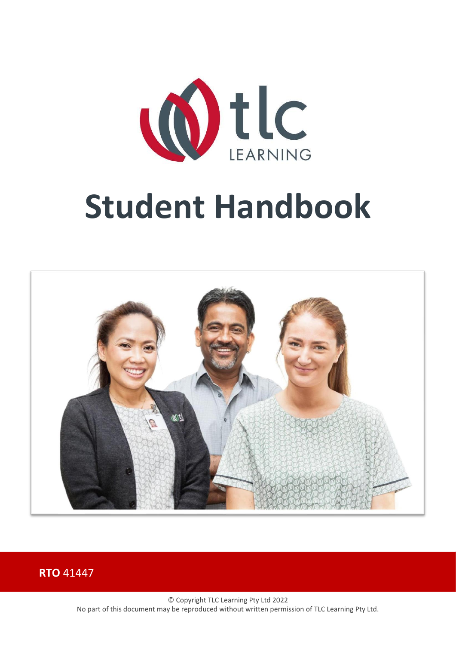



**RTO** 41447

© Copyright TLC Learning Pty Ltd 2022 No part of this document may be reproduced without written permission of TLC Learning Pty Ltd.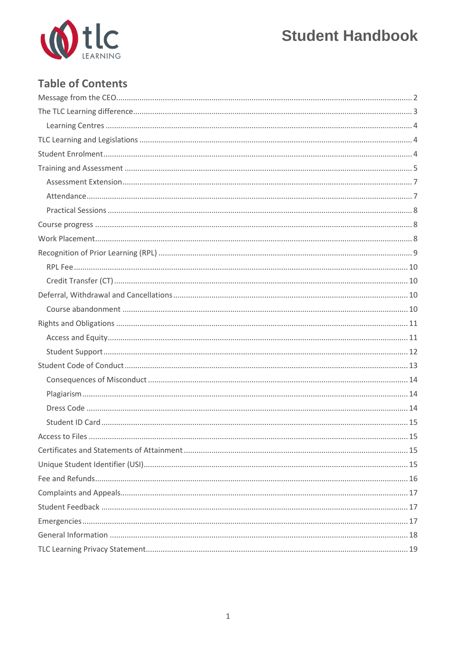

# **Table of Contents**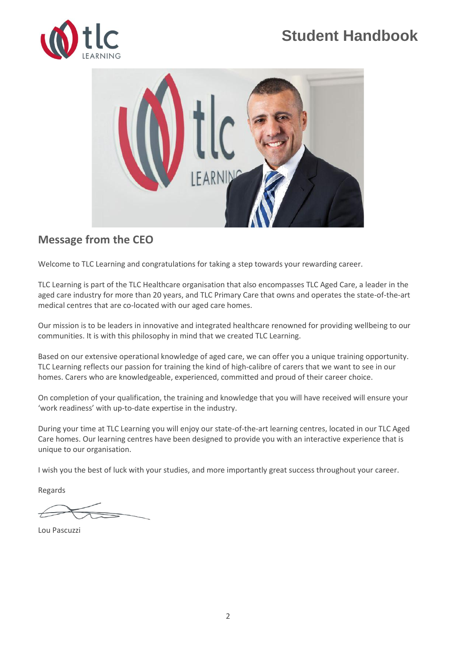



### <span id="page-2-0"></span>**Message from the CEO**

Welcome to TLC Learning and congratulations for taking a step towards your rewarding career.

TLC Learning is part of the TLC Healthcare organisation that also encompasses TLC Aged Care, a leader in the aged care industry for more than 20 years, and TLC Primary Care that owns and operates the state-of-the-art medical centres that are co-located with our aged care homes.

Our mission is to be leaders in innovative and integrated healthcare renowned for providing wellbeing to our communities. It is with this philosophy in mind that we created TLC Learning.

Based on our extensive operational knowledge of aged care, we can offer you a unique training opportunity. TLC Learning reflects our passion for training the kind of high-calibre of carers that we want to see in our homes. Carers who are knowledgeable, experienced, committed and proud of their career choice.

On completion of your qualification, the training and knowledge that you will have received will ensure your 'work readiness' with up-to-date expertise in the industry.

During your time at TLC Learning you will enjoy our state-of-the-art learning centres, located in our TLC Aged Care homes. Our learning centres have been designed to provide you with an interactive experience that is unique to our organisation.

I wish you the best of luck with your studies, and more importantly great success throughout your career.

Regards

Lou Pascuzzi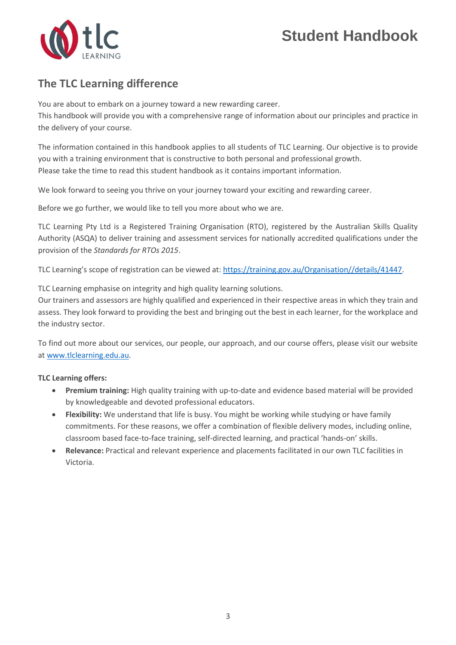

### <span id="page-3-0"></span>**The TLC Learning difference**

You are about to embark on a journey toward a new rewarding career. This handbook will provide you with a comprehensive range of information about our principles and practice in the delivery of your course.

The information contained in this handbook applies to all students of TLC Learning. Our objective is to provide you with a training environment that is constructive to both personal and professional growth. Please take the time to read this student handbook as it contains important information.

We look forward to seeing you thrive on your journey toward your exciting and rewarding career.

Before we go further, we would like to tell you more about who we are.

TLC Learning Pty Ltd is a Registered Training Organisation (RTO), registered by the Australian Skills Quality Authority (ASQA) to deliver training and assessment services for nationally accredited qualifications under the provision of the *Standards for RTOs 2015*.

TLC Learning's scope of registration can be viewed at: [https://training.gov.au/Organisation//details/41447.](https://training.gov.au/Organisation/details/41447)

TLC Learning emphasise on integrity and high quality learning solutions.

Our trainers and assessors are highly qualified and experienced in their respective areas in which they train and assess. They look forward to providing the best and bringing out the best in each learner, for the workplace and the industry sector.

To find out more about our services, our people, our approach, and our course offers, please visit our website at [www.tlclearning.edu.au.](http://www.tlclearning.edu.au/)

#### **TLC Learning offers:**

- **Premium training:** High quality training with up-to-date and evidence based material will be provided by knowledgeable and devoted professional educators.
- **Flexibility:** We understand that life is busy. You might be working while studying or have family commitments. For these reasons, we offer a combination of flexible delivery modes, including online, classroom based face-to-face training, self-directed learning, and practical 'hands-on' skills.
- **Relevance:** Practical and relevant experience and placements facilitated in our own TLC facilities in Victoria.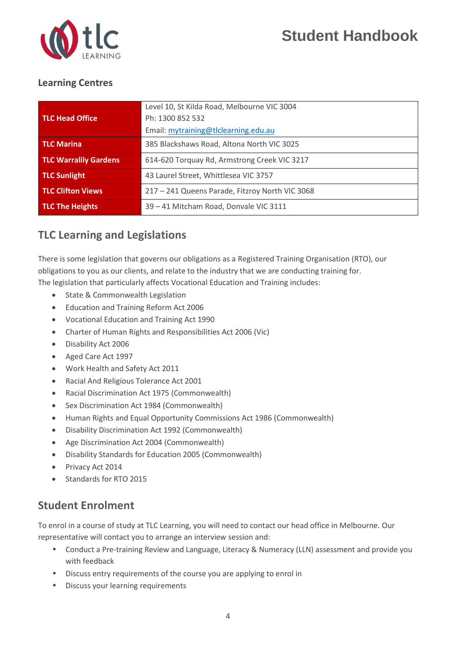

#### <span id="page-4-0"></span>**Learning Centres**

|                              | Level 10, St Kilda Road, Melbourne VIC 3004     |
|------------------------------|-------------------------------------------------|
| <b>TLC Head Office</b>       | Ph: 1300 852 532                                |
|                              | Email: mytraining@tlclearning.edu.au            |
| <b>TLC Marina</b>            | 385 Blackshaws Road, Altona North VIC 3025      |
| <b>TLC Warralily Gardens</b> | 614-620 Torquay Rd, Armstrong Creek VIC 3217    |
| <b>TLC Sunlight</b>          | 43 Laurel Street, Whittlesea VIC 3757           |
| <b>TLC Clifton Views</b>     | 217 - 241 Queens Parade, Fitzroy North VIC 3068 |
| <b>TLC The Heights</b>       | 39 - 41 Mitcham Road, Donvale VIC 3111          |

### <span id="page-4-1"></span>**TLC Learning and Legislations**

There is some legislation that governs our obligations as a Registered Training Organisation (RTO), our obligations to you as our clients, and relate to the industry that we are conducting training for. The legislation that particularly affects Vocational Education and Training includes:

- State & Commonwealth Legislation
- Education and Training Reform Act 2006
- Vocational Education and Training Act 1990
- Charter of Human Rights and Responsibilities Act 2006 (Vic)
- Disability Act 2006
- Aged Care Act 1997
- Work Health and Safety Act 2011
- Racial And Religious Tolerance Act 2001
- Racial Discrimination Act 1975 (Commonwealth)
- Sex Discrimination Act 1984 (Commonwealth)
- Human Rights and Equal Opportunity Commissions Act 1986 (Commonwealth)
- Disability Discrimination Act 1992 (Commonwealth)
- Age Discrimination Act 2004 (Commonwealth)
- Disability Standards for Education 2005 (Commonwealth)
- Privacy Act 2014
- Standards for RTO 2015

### <span id="page-4-2"></span>**Student Enrolment**

To enrol in a course of study at TLC Learning, you will need to contact our head office in Melbourne. Our representative will contact you to arrange an interview session and:

- Conduct a Pre-training Review and Language, Literacy & Numeracy (LLN) assessment and provide you with feedback
- Discuss entry requirements of the course you are applying to enrol in
- Discuss your learning requirements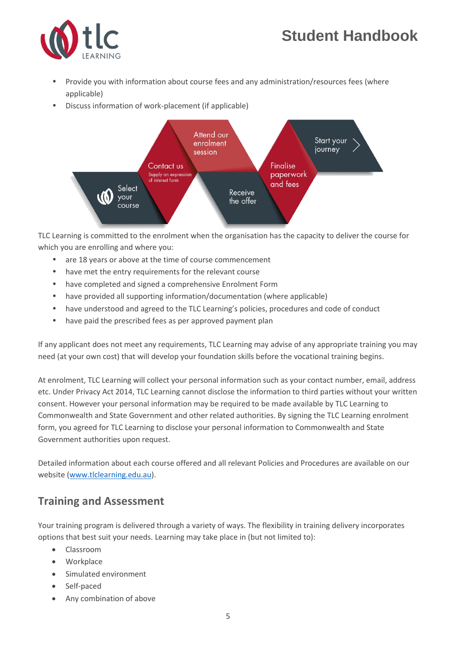

- Provide you with information about course fees and any administration/resources fees (where applicable)
- Discuss information of work-placement (if applicable)



TLC Learning is committed to the enrolment when the organisation has the capacity to deliver the course for which you are enrolling and where you:

- are 18 years or above at the time of course commencement
- have met the entry requirements for the relevant course
- have completed and signed a comprehensive Enrolment Form
- have provided all supporting information/documentation (where applicable)
- have understood and agreed to the TLC Learning's policies, procedures and code of conduct
- have paid the prescribed fees as per approved payment plan

If any applicant does not meet any requirements, TLC Learning may advise of any appropriate training you may need (at your own cost) that will develop your foundation skills before the vocational training begins.

At enrolment, TLC Learning will collect your personal information such as your contact number, email, address etc. Under Privacy Act 2014, TLC Learning cannot disclose the information to third parties without your written consent. However your personal information may be required to be made available by TLC Learning to Commonwealth and State Government and other related authorities. By signing the TLC Learning enrolment form, you agreed for TLC Learning to disclose your personal information to Commonwealth and State Government authorities upon request.

Detailed information about each course offered and all relevant Policies and Procedures are available on our website [\(www.tlclearning.edu.au\)](http://www.tlclearning.edu.au/).

### <span id="page-5-0"></span>**Training and Assessment**

Your training program is delivered through a variety of ways. The flexibility in training delivery incorporates options that best suit your needs. Learning may take place in (but not limited to):

- Classroom
- Workplace
- Simulated environment
- Self-paced
- Any combination of above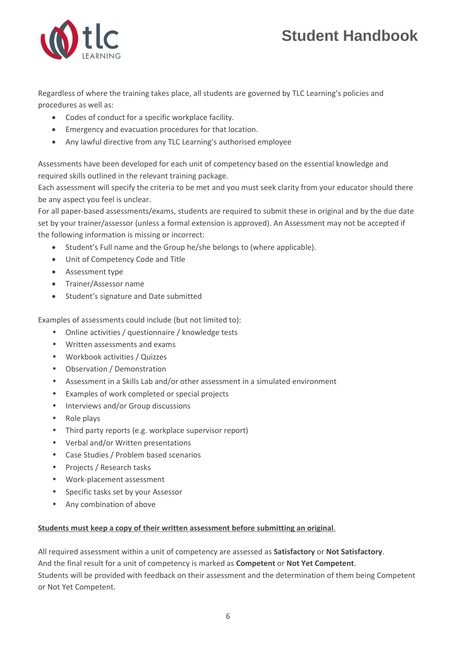

Regardless of where the training takes place, all students are governed by TLC Learning's policies and procedures as well as:

- Codes of conduct for a specific workplace facility.
- Emergency and evacuation procedures for that location.
- Any lawful directive from any TLC Learning's authorised employee

Assessments have been developed for each unit of competency based on the essential knowledge and required skills outlined in the relevant training package.

Each assessment will specify the criteria to be met and you must seek clarity from your educator should there be any aspect you feel is unclear.

For all paper-based assessments/exams, students are required to submit these in original and by the due date set by your trainer/assessor (unless a formal extension is approved). An Assessment may not be accepted if the following information is missing or incorrect:

- Student's Full name and the Group he/she belongs to (where applicable).
- Unit of Competency Code and Title
- Assessment type
- Trainer/Assessor name
- Student's signature and Date submitted

Examples of assessments could include (but not limited to):

- Online activities / questionnaire / knowledge tests
- Written assessments and exams
- Workbook activities / Quizzes
- Observation / Demonstration
- Assessment in a Skills Lab and/or other assessment in a simulated environment
- Examples of work completed or special projects
- Interviews and/or Group discussions
- Role plays
- Third party reports (e.g. workplace supervisor report)
- Verbal and/or Written presentations
- Case Studies / Problem based scenarios
- Projects / Research tasks
- Work-placement assessment
- Specific tasks set by your Assessor
- Any combination of above

#### **Students must keep a copy of their written assessment before submitting an original**.

All required assessment within a unit of competency are assessed as **Satisfactory** or **Not Satisfactory**. And the final result for a unit of competency is marked as **Competent** or **Not Yet Competent**. Students will be provided with feedback on their assessment and the determination of them being Competent or Not Yet Competent.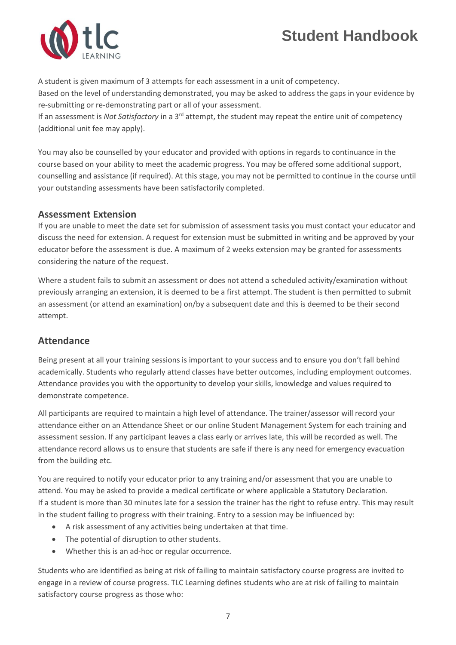

A student is given maximum of 3 attempts for each assessment in a unit of competency. Based on the level of understanding demonstrated, you may be asked to address the gaps in your evidence by re-submitting or re-demonstrating part or all of your assessment. If an assessment is *Not Satisfactory* in a 3<sup>rd</sup> attempt, the student may repeat the entire unit of competency

(additional unit fee may apply).

You may also be counselled by your educator and provided with options in regards to continuance in the course based on your ability to meet the academic progress. You may be offered some additional support, counselling and assistance (if required). At this stage, you may not be permitted to continue in the course until your outstanding assessments have been satisfactorily completed.

#### <span id="page-7-0"></span>**Assessment Extension**

If you are unable to meet the date set for submission of assessment tasks you must contact your educator and discuss the need for extension. A request for extension must be submitted in writing and be approved by your educator before the assessment is due. A maximum of 2 weeks extension may be granted for assessments considering the nature of the request.

Where a student fails to submit an assessment or does not attend a scheduled activity/examination without previously arranging an extension, it is deemed to be a first attempt. The student is then permitted to submit an assessment (or attend an examination) on/by a subsequent date and this is deemed to be their second attempt.

#### <span id="page-7-1"></span>**Attendance**

Being present at all your training sessions is important to your success and to ensure you don't fall behind academically. Students who regularly attend classes have better outcomes, including employment outcomes. Attendance provides you with the opportunity to develop your skills, knowledge and values required to demonstrate competence.

All participants are required to maintain a high level of attendance. The trainer/assessor will record your attendance either on an Attendance Sheet or our online Student Management System for each training and assessment session. If any participant leaves a class early or arrives late, this will be recorded as well. The attendance record allows us to ensure that students are safe if there is any need for emergency evacuation from the building etc.

You are required to notify your educator prior to any training and/or assessment that you are unable to attend. You may be asked to provide a medical certificate or where applicable a Statutory Declaration. If a student is more than 30 minutes late for a session the trainer has the right to refuse entry. This may result in the student failing to progress with their training. Entry to a session may be influenced by:

- A risk assessment of any activities being undertaken at that time.
- The potential of disruption to other students.
- Whether this is an ad-hoc or regular occurrence.

Students who are identified as being at risk of failing to maintain satisfactory course progress are invited to engage in a review of course progress. TLC Learning defines students who are at risk of failing to maintain satisfactory course progress as those who: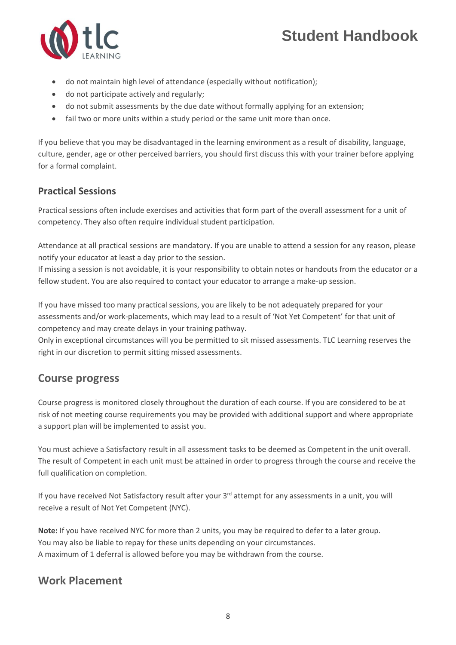

- do not maintain high level of attendance (especially without notification);
- do not participate actively and regularly;
- do not submit assessments by the due date without formally applying for an extension;
- fail two or more units within a study period or the same unit more than once.

If you believe that you may be disadvantaged in the learning environment as a result of disability, language, culture, gender, age or other perceived barriers, you should first discuss this with your trainer before applying for a formal complaint.

#### <span id="page-8-0"></span>**Practical Sessions**

Practical sessions often include exercises and activities that form part of the overall assessment for a unit of competency. They also often require individual student participation.

Attendance at all practical sessions are mandatory. If you are unable to attend a session for any reason, please notify your educator at least a day prior to the session.

If missing a session is not avoidable, it is your responsibility to obtain notes or handouts from the educator or a fellow student. You are also required to contact your educator to arrange a make-up session.

If you have missed too many practical sessions, you are likely to be not adequately prepared for your assessments and/or work-placements, which may lead to a result of 'Not Yet Competent' for that unit of competency and may create delays in your training pathway.

Only in exceptional circumstances will you be permitted to sit missed assessments. TLC Learning reserves the right in our discretion to permit sitting missed assessments.

### <span id="page-8-1"></span>**Course progress**

Course progress is monitored closely throughout the duration of each course. If you are considered to be at risk of not meeting course requirements you may be provided with additional support and where appropriate a support plan will be implemented to assist you.

You must achieve a Satisfactory result in all assessment tasks to be deemed as Competent in the unit overall. The result of Competent in each unit must be attained in order to progress through the course and receive the full qualification on completion.

If you have received Not Satisfactory result after your 3<sup>rd</sup> attempt for any assessments in a unit, you will receive a result of Not Yet Competent (NYC).

**Note:** If you have received NYC for more than 2 units, you may be required to defer to a later group. You may also be liable to repay for these units depending on your circumstances. A maximum of 1 deferral is allowed before you may be withdrawn from the course.

### <span id="page-8-2"></span>**Work Placement**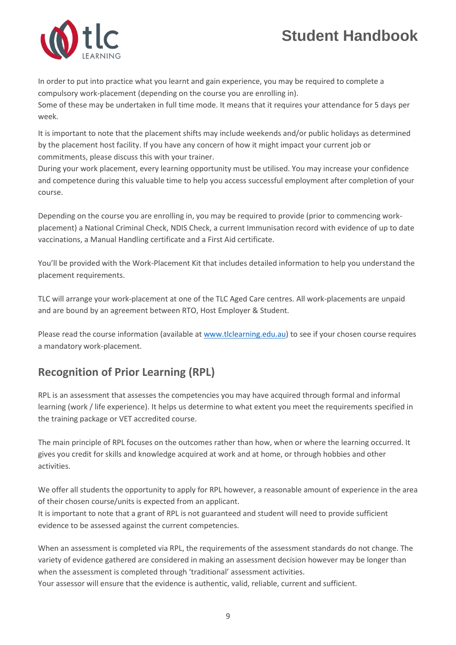

In order to put into practice what you learnt and gain experience, you may be required to complete a compulsory work-placement (depending on the course you are enrolling in).

Some of these may be undertaken in full time mode. It means that it requires your attendance for 5 days per week.

It is important to note that the placement shifts may include weekends and/or public holidays as determined by the placement host facility. If you have any concern of how it might impact your current job or commitments, please discuss this with your trainer.

During your work placement, every learning opportunity must be utilised. You may increase your confidence and competence during this valuable time to help you access successful employment after completion of your course.

Depending on the course you are enrolling in, you may be required to provide (prior to commencing workplacement) a National Criminal Check, NDIS Check, a current Immunisation record with evidence of up to date vaccinations, a Manual Handling certificate and a First Aid certificate.

You'll be provided with the Work-Placement Kit that includes detailed information to help you understand the placement requirements.

TLC will arrange your work-placement at one of the TLC Aged Care centres. All work-placements are unpaid and are bound by an agreement between RTO, Host Employer & Student.

Please read the course information (available at [www.tlclearning.edu.au\)](http://www.tlclearning.edu.au/) to see if your chosen course requires a mandatory work-placement.

# <span id="page-9-0"></span>**Recognition of Prior Learning (RPL)**

RPL is an assessment that assesses the competencies you may have acquired through formal and informal learning (work / life experience). It helps us determine to what extent you meet the requirements specified in the training package or VET accredited course.

The main principle of RPL focuses on the outcomes rather than how, when or where the learning occurred. It gives you credit for skills and knowledge acquired at work and at home, or through hobbies and other activities.

We offer all students the opportunity to apply for RPL however, a reasonable amount of experience in the area of their chosen course/units is expected from an applicant.

It is important to note that a grant of RPL is not guaranteed and student will need to provide sufficient evidence to be assessed against the current competencies.

When an assessment is completed via RPL, the requirements of the assessment standards do not change. The variety of evidence gathered are considered in making an assessment decision however may be longer than when the assessment is completed through 'traditional' assessment activities.

Your assessor will ensure that the evidence is authentic, valid, reliable, current and sufficient.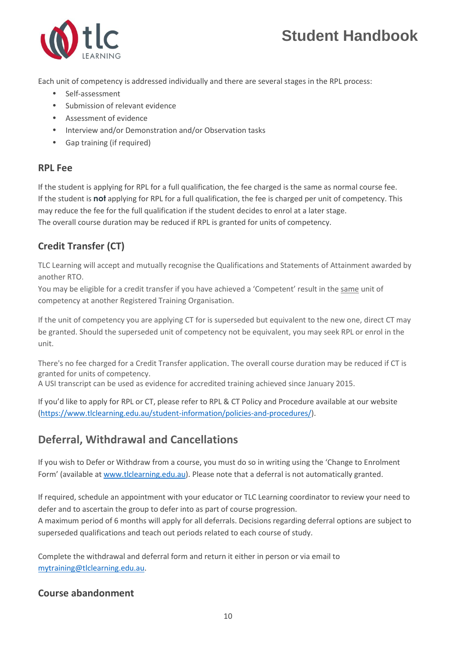

Each unit of competency is addressed individually and there are several stages in the RPL process:

- Self-assessment
- Submission of relevant evidence
- Assessment of evidence
- Interview and/or Demonstration and/or Observation tasks
- Gap training (if required)

#### <span id="page-10-0"></span>**RPL Fee**

If the student is applying for RPL for a full qualification, the fee charged is the same as normal course fee. If the student is **not** applying for RPL for a full qualification, the fee is charged per unit of competency. This may reduce the fee for the full qualification if the student decides to enrol at a later stage. The overall course duration may be reduced if RPL is granted for units of competency.

### <span id="page-10-1"></span>**Credit Transfer (CT)**

TLC Learning will accept and mutually recognise the Qualifications and Statements of Attainment awarded by another RTO.

You may be eligible for a credit transfer if you have achieved a 'Competent' result in the same unit of competency at another Registered Training Organisation.

If the unit of competency you are applying CT for is superseded but equivalent to the new one, direct CT may be granted. Should the superseded unit of competency not be equivalent, you may seek RPL or enrol in the unit.

There's no fee charged for a Credit Transfer application. The overall course duration may be reduced if CT is granted for units of competency.

A USI transcript can be used as evidence for accredited training achieved since January 2015.

If you'd like to apply for RPL or CT, please refer to RPL & CT Policy and Procedure available at our website [\(https://www.tlclearning.edu.au/student-information/policies-and-procedures/\)](https://www.tlclearning.edu.au/student-information/policies-and-procedures/).

# <span id="page-10-2"></span>**Deferral, Withdrawal and Cancellations**

If you wish to Defer or Withdraw from a course, you must do so in writing using the 'Change to Enrolment Form' (available at [www.tlclearning.edu.au\)](http://www.tlclearning.edu.au/). Please note that a deferral is not automatically granted.

If required, schedule an appointment with your educator or TLC Learning coordinator to review your need to defer and to ascertain the group to defer into as part of course progression.

A maximum period of 6 months will apply for all deferrals. Decisions regarding deferral options are subject to superseded qualifications and teach out periods related to each course of study.

Complete the withdrawal and deferral form and return it either in person or via email to [mytraining@tlclearning.edu.au.](mailto:mytraining@tlclearning.edu.au)

#### <span id="page-10-3"></span>**Course abandonment**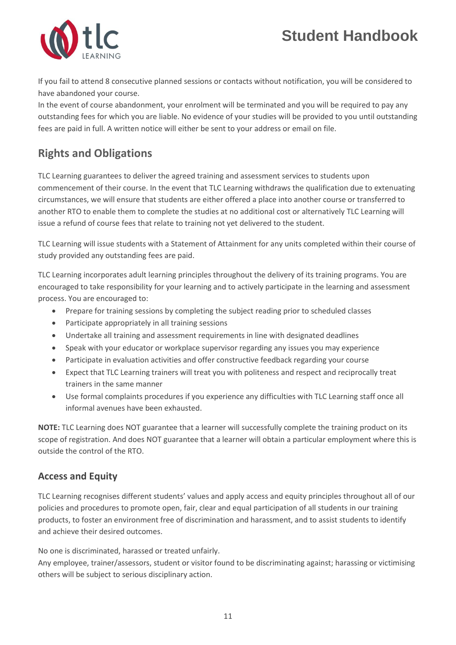

If you fail to attend 8 consecutive planned sessions or contacts without notification, you will be considered to have abandoned your course.

In the event of course abandonment, your enrolment will be terminated and you will be required to pay any outstanding fees for which you are liable. No evidence of your studies will be provided to you until outstanding fees are paid in full. A written notice will either be sent to your address or email on file.

### <span id="page-11-0"></span>**Rights and Obligations**

TLC Learning guarantees to deliver the agreed training and assessment services to students upon commencement of their course. In the event that TLC Learning withdraws the qualification due to extenuating circumstances, we will ensure that students are either offered a place into another course or transferred to another RTO to enable them to complete the studies at no additional cost or alternatively TLC Learning will issue a refund of course fees that relate to training not yet delivered to the student.

TLC Learning will issue students with a Statement of Attainment for any units completed within their course of study provided any outstanding fees are paid.

TLC Learning incorporates adult learning principles throughout the delivery of its training programs. You are encouraged to take responsibility for your learning and to actively participate in the learning and assessment process. You are encouraged to:

- Prepare for training sessions by completing the subject reading prior to scheduled classes
- Participate appropriately in all training sessions
- Undertake all training and assessment requirements in line with designated deadlines
- Speak with your educator or workplace supervisor regarding any issues you may experience
- Participate in evaluation activities and offer constructive feedback regarding your course
- Expect that TLC Learning trainers will treat you with politeness and respect and reciprocally treat trainers in the same manner
- Use formal complaints procedures if you experience any difficulties with TLC Learning staff once all informal avenues have been exhausted.

**NOTE:** TLC Learning does NOT guarantee that a learner will successfully complete the training product on its scope of registration. And does NOT guarantee that a learner will obtain a particular employment where this is outside the control of the RTO.

#### <span id="page-11-1"></span>**Access and Equity**

TLC Learning recognises different students' values and apply access and equity principles throughout all of our policies and procedures to promote open, fair, clear and equal participation of all students in our training products, to foster an environment free of discrimination and harassment, and to assist students to identify and achieve their desired outcomes.

No one is discriminated, harassed or treated unfairly.

Any employee, trainer/assessors, student or visitor found to be discriminating against; harassing or victimising others will be subject to serious disciplinary action.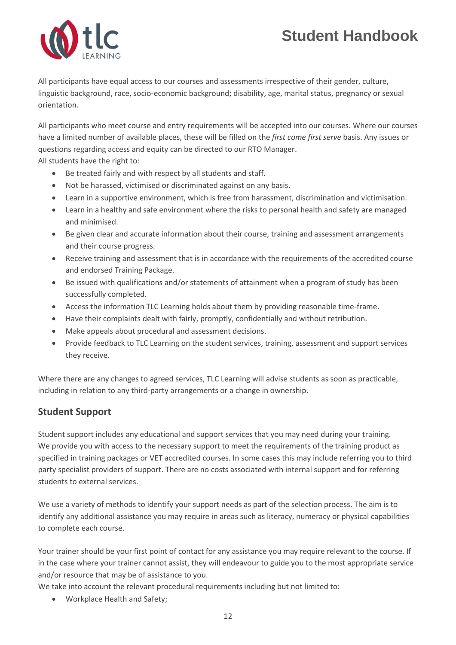

All participants have equal access to our courses and assessments irrespective of their gender, culture, linguistic background, race, socio-economic background; disability, age, marital status, pregnancy or sexual orientation.

All participants who meet course and entry requirements will be accepted into our courses. Where our courses have a limited number of available places, these will be filled on the *first come first serve* basis. Any issues or questions regarding access and equity can be directed to our RTO Manager.

All students have the right to:

- Be treated fairly and with respect by all students and staff.
- Not be harassed, victimised or discriminated against on any basis.
- Learn in a supportive environment, which is free from harassment, discrimination and victimisation.
- Learn in a healthy and safe environment where the risks to personal health and safety are managed and minimised.
- Be given clear and accurate information about their course, training and assessment arrangements and their course progress.
- Receive training and assessment that is in accordance with the requirements of the accredited course and endorsed Training Package.
- Be issued with qualifications and/or statements of attainment when a program of study has been successfully completed.
- Access the information TLC Learning holds about them by providing reasonable time-frame.
- Have their complaints dealt with fairly, promptly, confidentially and without retribution.
- Make appeals about procedural and assessment decisions.
- Provide feedback to TLC Learning on the student services, training, assessment and support services they receive.

Where there are any changes to agreed services, TLC Learning will advise students as soon as practicable, including in relation to any third-party arrangements or a change in ownership.

#### <span id="page-12-0"></span>**Student Support**

Student support includes any educational and support services that you may need during your training. We provide you with access to the necessary support to meet the requirements of the training product as specified in training packages or VET accredited courses. In some cases this may include referring you to third party specialist providers of support. There are no costs associated with internal support and for referring students to external services.

We use a variety of methods to identify your support needs as part of the selection process. The aim is to identify any additional assistance you may require in areas such as literacy, numeracy or physical capabilities to complete each course.

Your trainer should be your first point of contact for any assistance you may require relevant to the course. If in the case where your trainer cannot assist, they will endeavour to guide you to the most appropriate service and/or resource that may be of assistance to you.

We take into account the relevant procedural requirements including but not limited to:

• Workplace Health and Safety;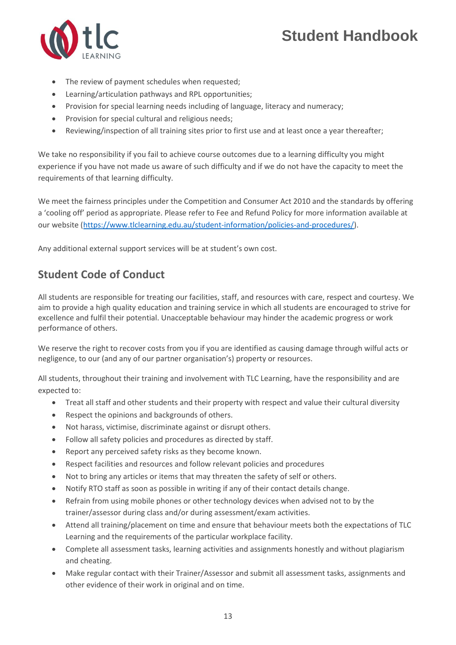

- The review of payment schedules when requested;
- Learning/articulation pathways and RPL opportunities;
- Provision for special learning needs including of language, literacy and numeracy;
- Provision for special cultural and religious needs;
- Reviewing/inspection of all training sites prior to first use and at least once a year thereafter;

We take no responsibility if you fail to achieve course outcomes due to a learning difficulty you might experience if you have not made us aware of such difficulty and if we do not have the capacity to meet the requirements of that learning difficulty.

We meet the fairness principles under the Competition and Consumer Act 2010 and the standards by offering a 'cooling off' period as appropriate. Please refer to Fee and Refund Policy for more information available at our website [\(https://www.tlclearning.edu.au/student-information/policies-and-procedures/\)](https://www.tlclearning.edu.au/student-information/policies-and-procedures/).

Any additional external support services will be at student's own cost.

### <span id="page-13-0"></span>**Student Code of Conduct**

All students are responsible for treating our facilities, staff, and resources with care, respect and courtesy. We aim to provide a high quality education and training service in which all students are encouraged to strive for excellence and fulfil their potential. Unacceptable behaviour may hinder the academic progress or work performance of others.

We reserve the right to recover costs from you if you are identified as causing damage through wilful acts or negligence, to our (and any of our partner organisation's) property or resources.

All students, throughout their training and involvement with TLC Learning, have the responsibility and are expected to:

- Treat all staff and other students and their property with respect and value their cultural diversity
- Respect the opinions and backgrounds of others.
- Not harass, victimise, discriminate against or disrupt others.
- Follow all safety policies and procedures as directed by staff.
- Report any perceived safety risks as they become known.
- Respect facilities and resources and follow relevant policies and procedures
- Not to bring any articles or items that may threaten the safety of self or others.
- Notify RTO staff as soon as possible in writing if any of their contact details change.
- Refrain from using mobile phones or other technology devices when advised not to by the trainer/assessor during class and/or during assessment/exam activities.
- Attend all training/placement on time and ensure that behaviour meets both the expectations of TLC Learning and the requirements of the particular workplace facility.
- Complete all assessment tasks, learning activities and assignments honestly and without plagiarism and cheating.
- Make regular contact with their Trainer/Assessor and submit all assessment tasks, assignments and other evidence of their work in original and on time.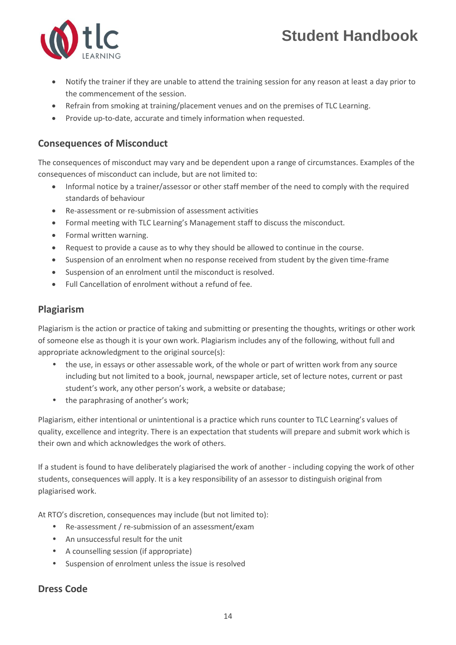

- Notify the trainer if they are unable to attend the training session for any reason at least a day prior to the commencement of the session.
- Refrain from smoking at training/placement venues and on the premises of TLC Learning.
- Provide up-to-date, accurate and timely information when requested.

#### <span id="page-14-0"></span>**Consequences of Misconduct**

The consequences of misconduct may vary and be dependent upon a range of circumstances. Examples of the consequences of misconduct can include, but are not limited to:

- Informal notice by a trainer/assessor or other staff member of the need to comply with the required standards of behaviour
- Re-assessment or re-submission of assessment activities
- Formal meeting with TLC Learning's Management staff to discuss the misconduct.
- Formal written warning.
- Request to provide a cause as to why they should be allowed to continue in the course.
- Suspension of an enrolment when no response received from student by the given time-frame
- Suspension of an enrolment until the misconduct is resolved.
- Full Cancellation of enrolment without a refund of fee.

#### <span id="page-14-1"></span>**Plagiarism**

Plagiarism is the action or practice of taking and submitting or presenting the thoughts, writings or other work of someone else as though it is your own work. Plagiarism includes any of the following, without full and appropriate acknowledgment to the original source(s):

- the use, in essays or other assessable work, of the whole or part of written work from any source including but not limited to a book, journal, newspaper article, set of lecture notes, current or past student's work, any other person's work, a website or database;
- the paraphrasing of another's work;

Plagiarism, either intentional or unintentional is a practice which runs counter to TLC Learning's values of quality, excellence and integrity. There is an expectation that students will prepare and submit work which is their own and which acknowledges the work of others.

If a student is found to have deliberately plagiarised the work of another - including copying the work of other students, consequences will apply. It is a key responsibility of an assessor to distinguish original from plagiarised work.

At RTO's discretion, consequences may include (but not limited to):

- Re-assessment / re-submission of an assessment/exam
- An unsuccessful result for the unit
- A counselling session (if appropriate)
- Suspension of enrolment unless the issue is resolved

#### <span id="page-14-2"></span>**Dress Code**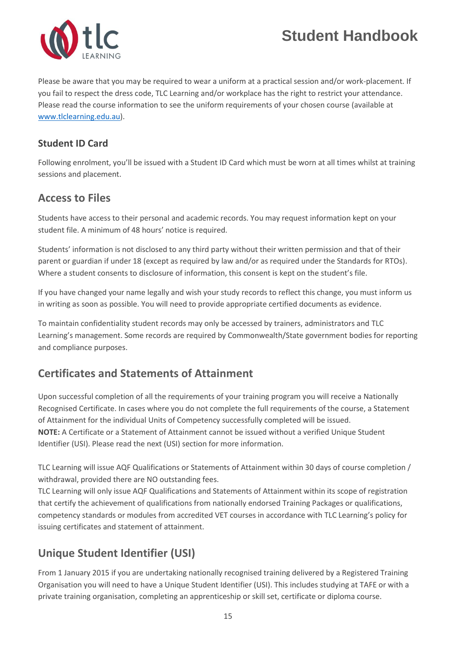

Please be aware that you may be required to wear a uniform at a practical session and/or work-placement. If you fail to respect the dress code, TLC Learning and/or workplace has the right to restrict your attendance. Please read the course information to see the uniform requirements of your chosen course (available at [www.tlclearning.edu.au\)](http://www.tlclearning.edu.au/).

### <span id="page-15-0"></span>**Student ID Card**

Following enrolment, you'll be issued with a Student ID Card which must be worn at all times whilst at training sessions and placement.

### <span id="page-15-1"></span>**Access to Files**

Students have access to their personal and academic records. You may request information kept on your student file. A minimum of 48 hours' notice is required.

Students' information is not disclosed to any third party without their written permission and that of their parent or guardian if under 18 (except as required by law and/or as required under the Standards for RTOs). Where a student consents to disclosure of information, this consent is kept on the student's file.

If you have changed your name legally and wish your study records to reflect this change, you must inform us in writing as soon as possible. You will need to provide appropriate certified documents as evidence.

To maintain confidentiality student records may only be accessed by trainers, administrators and TLC Learning's management. Some records are required by Commonwealth/State government bodies for reporting and compliance purposes.

# <span id="page-15-2"></span>**Certificates and Statements of Attainment**

Upon successful completion of all the requirements of your training program you will receive a Nationally Recognised Certificate. In cases where you do not complete the full requirements of the course, a Statement of Attainment for the individual Units of Competency successfully completed will be issued. **NOTE:** A Certificate or a Statement of Attainment cannot be issued without a verified Unique Student Identifier (USI). Please read the next (USI) section for more information.

TLC Learning will issue AQF Qualifications or Statements of Attainment within 30 days of course completion / withdrawal, provided there are NO outstanding fees.

TLC Learning will only issue AQF Qualifications and Statements of Attainment within its scope of registration that certify the achievement of qualifications from nationally endorsed Training Packages or qualifications, competency standards or modules from accredited VET courses in accordance with TLC Learning's policy for issuing certificates and statement of attainment.

# <span id="page-15-3"></span>**Unique Student Identifier (USI)**

From 1 January 2015 if you are undertaking nationally recognised training delivered by a Registered Training Organisation you will need to have a Unique Student Identifier (USI). This includes studying at TAFE or with a private training organisation, completing an apprenticeship or skill set, certificate or diploma course.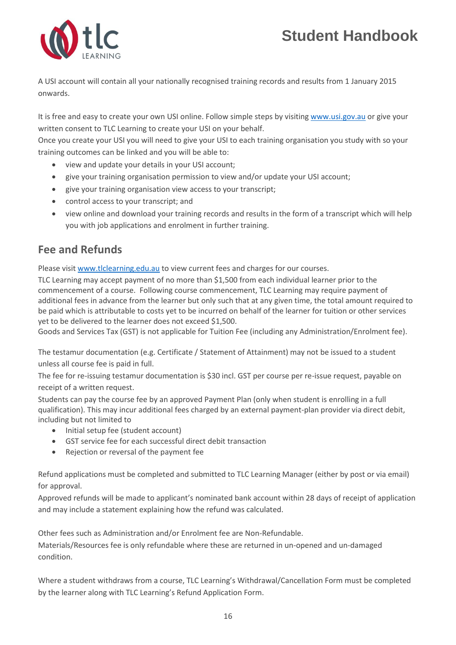

A USI account will contain all your nationally recognised training records and results from 1 January 2015 onwards.

It is free and easy to create your own USI online. Follow simple steps by visitin[g www.usi.gov.au](http://www.usi.gov.au/) or give your written consent to TLC Learning to create your USI on your behalf.

Once you create your USI you will need to give your USI to each training organisation you study with so your training outcomes can be linked and you will be able to:

- view and update your details in your USI account;
- give your training organisation permission to view and/or update your USI account;
- give your training organisation view access to your transcript;
- control access to your transcript; and
- view online and download your training records and results in the form of a transcript which will help you with job applications and enrolment in further training.

### <span id="page-16-0"></span>**Fee and Refunds**

Please visit [www.tlclearning.edu.au](http://www.tlclearning.edu.au/) to view current fees and charges for our courses.

TLC Learning may accept payment of no more than \$1,500 from each individual learner prior to the commencement of a course. Following course commencement, TLC Learning may require payment of additional fees in advance from the learner but only such that at any given time, the total amount required to be paid which is attributable to costs yet to be incurred on behalf of the learner for tuition or other services yet to be delivered to the learner does not exceed \$1,500.

Goods and Services Tax (GST) is not applicable for Tuition Fee (including any Administration/Enrolment fee).

The testamur documentation (e.g. Certificate / Statement of Attainment) may not be issued to a student unless all course fee is paid in full.

The fee for re-issuing testamur documentation is \$30 incl. GST per course per re-issue request, payable on receipt of a written request.

Students can pay the course fee by an approved Payment Plan (only when student is enrolling in a full qualification). This may incur additional fees charged by an external payment-plan provider via direct debit, including but not limited to

- Initial setup fee (student account)
- GST service fee for each successful direct debit transaction
- Rejection or reversal of the payment fee

Refund applications must be completed and submitted to TLC Learning Manager (either by post or via email) for approval.

Approved refunds will be made to applicant's nominated bank account within 28 days of receipt of application and may include a statement explaining how the refund was calculated.

Other fees such as Administration and/or Enrolment fee are Non-Refundable.

Materials/Resources fee is only refundable where these are returned in un-opened and un-damaged condition.

Where a student withdraws from a course, TLC Learning's Withdrawal/Cancellation Form must be completed by the learner along with TLC Learning's Refund Application Form.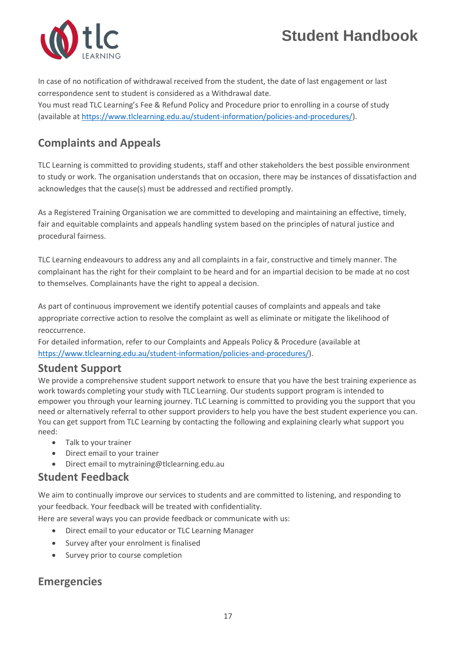

In case of no notification of withdrawal received from the student, the date of last engagement or last correspondence sent to student is considered as a Withdrawal date.

You must read TLC Learning's Fee & Refund Policy and Procedure prior to enrolling in a course of study (available a[t https://www.tlclearning.edu.au/student-information/policies-and-procedures/\)](https://www.tlclearning.edu.au/student-information/policies-and-procedures/).

### <span id="page-17-0"></span>**Complaints and Appeals**

TLC Learning is committed to providing students, staff and other stakeholders the best possible environment to study or work. The organisation understands that on occasion, there may be instances of dissatisfaction and acknowledges that the cause(s) must be addressed and rectified promptly.

As a Registered Training Organisation we are committed to developing and maintaining an effective, timely, fair and equitable complaints and appeals handling system based on the principles of natural justice and procedural fairness.

TLC Learning endeavours to address any and all complaints in a fair, constructive and timely manner. The complainant has the right for their complaint to be heard and for an impartial decision to be made at no cost to themselves. Complainants have the right to appeal a decision.

As part of continuous improvement we identify potential causes of complaints and appeals and take appropriate corrective action to resolve the complaint as well as eliminate or mitigate the likelihood of reoccurrence.

For detailed information, refer to our Complaints and Appeals Policy & Procedure (available at [https://www.tlclearning.edu.au/student-information/policies-and-procedures/\)](https://www.tlclearning.edu.au/student-information/policies-and-procedures/).

### **Student Support**

We provide a comprehensive student support network to ensure that you have the best training experience as work towards completing your study with TLC Learning. Our students support program is intended to empower you through your learning journey. TLC Learning is committed to providing you the support that you need or alternatively referral to other support providers to help you have the best student experience you can. You can get support from TLC Learning by contacting the following and explaining clearly what support you need:

- Talk to your trainer
- Direct email to your trainer
- Direct email to mytraining@tlclearning.edu.au

### <span id="page-17-1"></span>**Student Feedback**

We aim to continually improve our services to students and are committed to listening, and responding to your feedback. Your feedback will be treated with confidentiality.

Here are several ways you can provide feedback or communicate with us:

- Direct email to your educator or TLC Learning Manager
- Survey after your enrolment is finalised
- Survey prior to course completion

### <span id="page-17-2"></span>**Emergencies**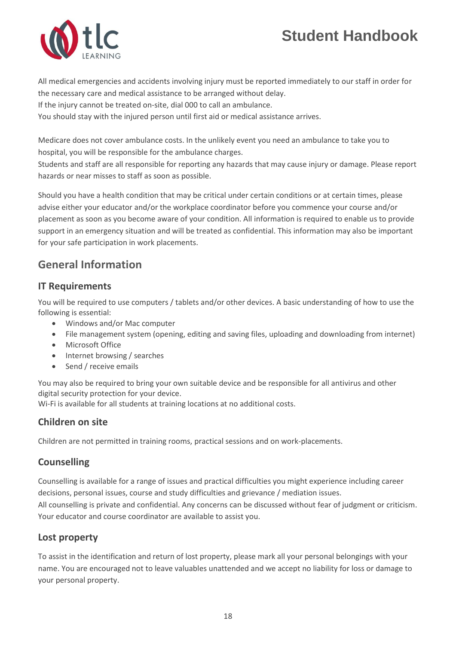

All medical emergencies and accidents involving injury must be reported immediately to our staff in order for the necessary care and medical assistance to be arranged without delay.

If the injury cannot be treated on-site, dial 000 to call an ambulance.

You should stay with the injured person until first aid or medical assistance arrives.

Medicare does not cover ambulance costs. In the unlikely event you need an ambulance to take you to hospital, you will be responsible for the ambulance charges.

Students and staff are all responsible for reporting any hazards that may cause injury or damage. Please report hazards or near misses to staff as soon as possible.

Should you have a health condition that may be critical under certain conditions or at certain times, please advise either your educator and/or the workplace coordinator before you commence your course and/or placement as soon as you become aware of your condition. All information is required to enable us to provide support in an emergency situation and will be treated as confidential. This information may also be important for your safe participation in work placements.

### <span id="page-18-0"></span>**General Information**

#### **IT Requirements**

You will be required to use computers / tablets and/or other devices. A basic understanding of how to use the following is essential:

- Windows and/or Mac computer
- File management system (opening, editing and saving files, uploading and downloading from internet)
- Microsoft Office
- Internet browsing / searches
- Send / receive emails

You may also be required to bring your own suitable device and be responsible for all antivirus and other digital security protection for your device.

Wi-Fi is available for all students at training locations at no additional costs.

#### **Children on site**

Children are not permitted in training rooms, practical sessions and on work-placements.

#### **Counselling**

Counselling is available for a range of issues and practical difficulties you might experience including career decisions, personal issues, course and study difficulties and grievance / mediation issues.

All counselling is private and confidential. Any concerns can be discussed without fear of judgment or criticism. Your educator and course coordinator are available to assist you.

#### **Lost property**

To assist in the identification and return of lost property, please mark all your personal belongings with your name. You are encouraged not to leave valuables unattended and we accept no liability for loss or damage to your personal property.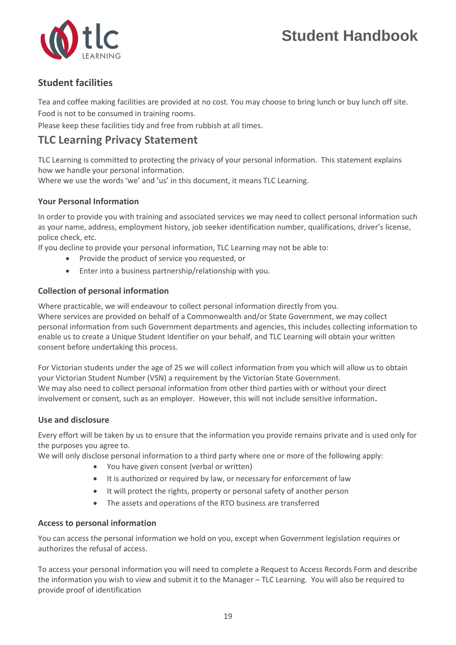

#### **Student facilities**

Tea and coffee making facilities are provided at no cost. You may choose to bring lunch or buy lunch off site.

Food is not to be consumed in training rooms.

Please keep these facilities tidy and free from rubbish at all times.

### <span id="page-19-0"></span>**TLC Learning Privacy Statement**

TLC Learning is committed to protecting the privacy of your personal information. This statement explains how we handle your personal information.

Where we use the words 'we' and 'us' in this document, it means TLC Learning.

#### **Your Personal Information**

In order to provide you with training and associated services we may need to collect personal information such as your name, address, employment history, job seeker identification number, qualifications, driver's license, police check, etc.

If you decline to provide your personal information, TLC Learning may not be able to:

- Provide the product of service you requested, or
- Enter into a business partnership/relationship with you.

#### **Collection of personal information**

Where practicable, we will endeavour to collect personal information directly from you.

Where services are provided on behalf of a Commonwealth and/or State Government, we may collect personal information from such Government departments and agencies, this includes collecting information to enable us to create a Unique Student Identifier on your behalf, and TLC Learning will obtain your written consent before undertaking this process.

For Victorian students under the age of 25 we will collect information from you which will allow us to obtain your Victorian Student Number (VSN) a requirement by the Victorian State Government. We may also need to collect personal information from other third parties with or without your direct involvement or consent, such as an employer. However, this will not include sensitive information**.**

#### **Use and disclosure**

Every effort will be taken by us to ensure that the information you provide remains private and is used only for the purposes you agree to.

We will only disclose personal information to a third party where one or more of the following apply:

- You have given consent (verbal or written)
- It is authorized or required by law, or necessary for enforcement of law
- It will protect the rights, property or personal safety of another person
- The assets and operations of the RTO business are transferred

#### **Access to personal information**

You can access the personal information we hold on you, except when Government legislation requires or authorizes the refusal of access.

To access your personal information you will need to complete a Request to Access Records Form and describe the information you wish to view and submit it to the Manager – TLC Learning. You will also be required to provide proof of identification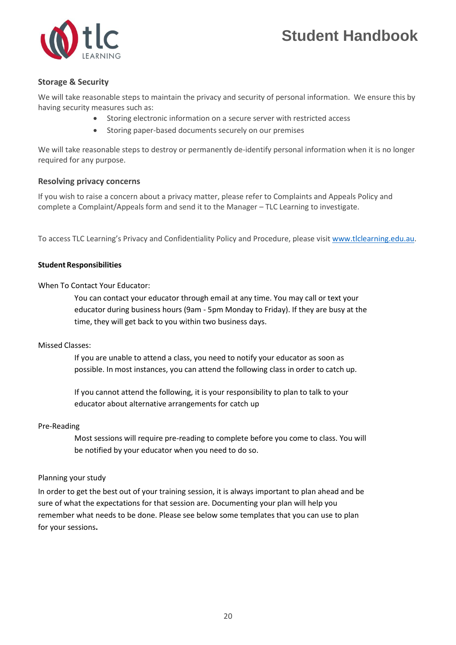

#### **Storage & Security**

We will take reasonable steps to maintain the privacy and security of personal information. We ensure this by having security measures such as:

- Storing electronic information on a secure server with restricted access
- Storing paper-based documents securely on our premises

We will take reasonable steps to destroy or permanently de-identify personal information when it is no longer required for any purpose.

#### **Resolving privacy concerns**

If you wish to raise a concern about a privacy matter, please refer to Complaints and Appeals Policy and complete a Complaint/Appeals form and send it to the Manager – TLC Learning to investigate.

To access TLC Learning's Privacy and Confidentiality Policy and Procedure, please visit [www.tlclearning.edu.au.](http://www.tlclearning.edu.au/)

#### **Student Responsibilities**

When To Contact Your Educator:

You can contact your educator through email at any time. You may call or text your educator during business hours (9am - 5pm Monday to Friday). If they are busy at the time, they will get back to you within two business days.

#### Missed Classes:

If you are unable to attend a class, you need to notify your educator as soon as possible. In most instances, you can attend the following class in order to catch up.

If you cannot attend the following, it is your responsibility to plan to talk to your educator about alternative arrangements for catch up

#### Pre-Reading

Most sessions will require pre-reading to complete before you come to class. You will be notified by your educator when you need to do so.

#### Planning your study

In order to get the best out of your training session, it is always important to plan ahead and be sure of what the expectations for that session are. Documenting your plan will help you remember what needs to be done. Please see below some templates that you can use to plan for your sessions**.**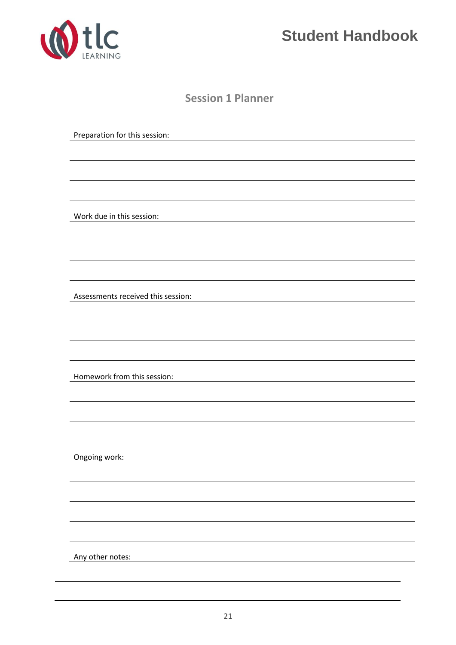

**Session 1 Planner**

Preparation for this session: Work due in this session: Assessments received this session: Homework from this session: Ongoing work: Any other notes: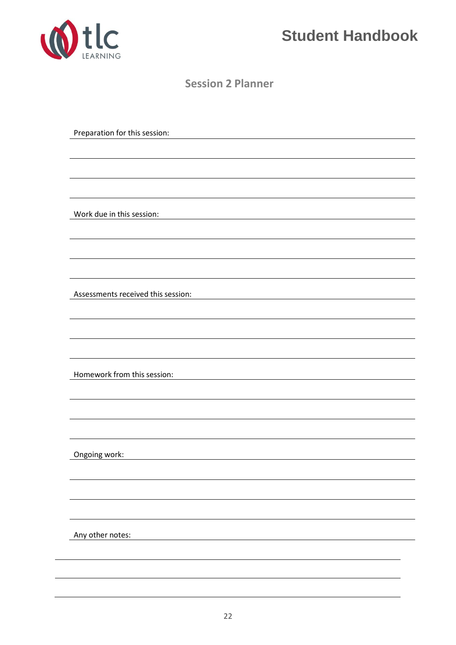

**Session 2 Planner**

Preparation for this session:

Work due in this session:

Assessments received this session:

Homework from this session:

Ongoing work:

Any other notes: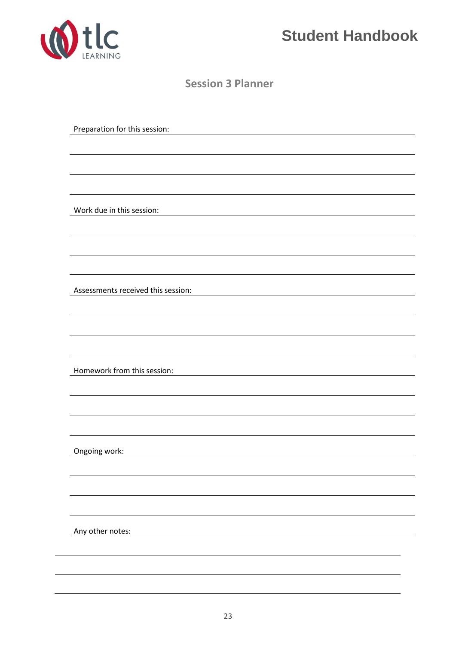

**Session 3 Planner**

Preparation for this session:

Work due in this session:

Assessments received this session:

Homework from this session:

Ongoing work:

Any other notes: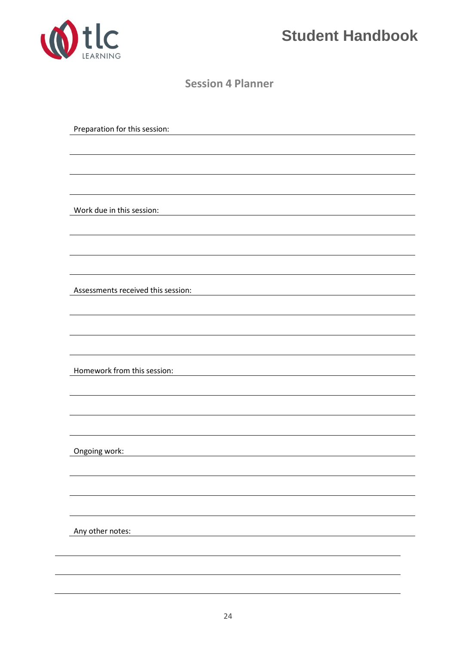

**Session 4 Planner**

Preparation for this session:

Work due in this session:

Assessments received this session:

Homework from this session:

Ongoing work:

Any other notes: